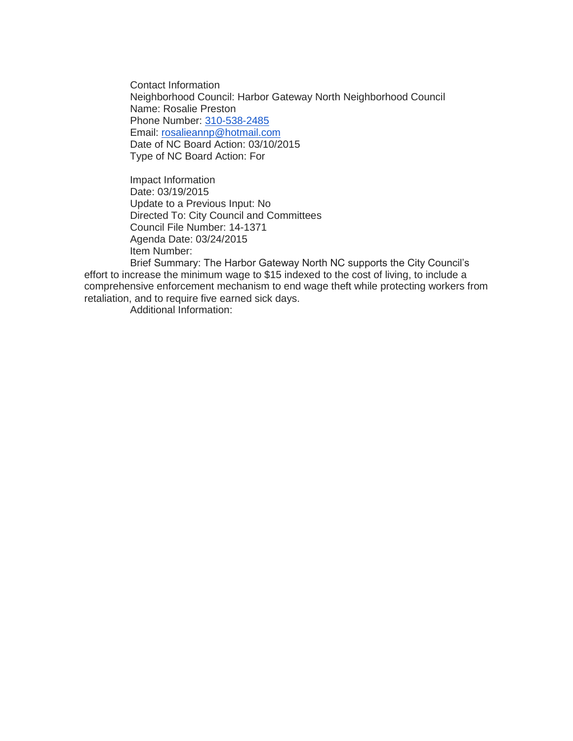Contact Information Neighborhood Council: Harbor Gateway North Neighborhood Council Name: Rosalie Preston Phone Number: [310-538-2485](tel:310-538-2485) Email: [rosalieannp@hotmail.com](mailto:rosalieannp@hotmail.com) Date of NC Board Action: 03/10/2015 Type of NC Board Action: For

Impact Information Date: 03/19/2015 Update to a Previous Input: No Directed To: City Council and Committees Council File Number: 14-1371 Agenda Date: 03/24/2015 Item Number:

Brief Summary: The Harbor Gateway North NC supports the City Council's effort to increase the minimum wage to \$15 indexed to the cost of living, to include a comprehensive enforcement mechanism to end wage theft while protecting workers from retaliation, and to require five earned sick days.

Additional Information: